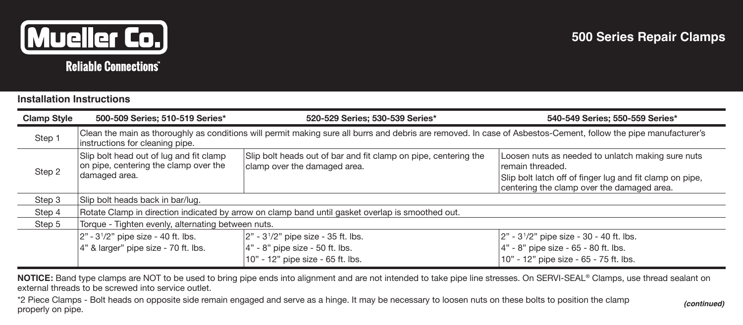

## **Installation Instructions**

| <b>Clamp Style</b> | 500-509 Series; 510-519 Series*                                                                                                                                                                    | 520-529 Series; 530-539 Series*                                                                               | 540-549 Series; 550-559 Series*                                                                                                                                                 |  |  |  |  |
|--------------------|----------------------------------------------------------------------------------------------------------------------------------------------------------------------------------------------------|---------------------------------------------------------------------------------------------------------------|---------------------------------------------------------------------------------------------------------------------------------------------------------------------------------|--|--|--|--|
| Step 1             | Clean the main as thoroughly as conditions will permit making sure all burrs and debris are removed. In case of Asbestos-Cement, follow the pipe manufacturer's<br>instructions for cleaning pipe. |                                                                                                               |                                                                                                                                                                                 |  |  |  |  |
| Step 2             | Slip bolt head out of lug and fit clamp<br>on pipe, centering the clamp over the<br>damaged area.                                                                                                  | Slip bolt heads out of bar and fit clamp on pipe, centering the<br>clamp over the damaged area.               | Loosen nuts as needed to unlatch making sure nuts<br>remain threaded.<br>Slip bolt latch off of finger lug and fit clamp on pipe,<br>centering the clamp over the damaged area. |  |  |  |  |
| Step 3             | Slip bolt heads back in bar/lug.                                                                                                                                                                   |                                                                                                               |                                                                                                                                                                                 |  |  |  |  |
| Step 4             | Rotate Clamp in direction indicated by arrow on clamp band until gasket overlap is smoothed out.                                                                                                   |                                                                                                               |                                                                                                                                                                                 |  |  |  |  |
| Step 5             | Torque - Tighten evenly, alternating between nuts.                                                                                                                                                 |                                                                                                               |                                                                                                                                                                                 |  |  |  |  |
|                    | $ 2" - 3'/2"$ pipe size - 40 ft. lbs.<br>4" & larger" pipe size - 70 ft. lbs.                                                                                                                      | $ 2" - 3'/2"$ pipe size - 35 ft. lbs.<br>4" - 8" pipe size - 50 ft. lbs.<br>10" - 12" pipe size - 65 ft. lbs. | 2" - 31/2" pipe size - 30 - 40 ft. lbs.<br>4" - 8" pipe size - 65 - 80 ft. lbs.<br>10" - 12" pipe size - 65 - 75 ft. lbs.                                                       |  |  |  |  |

**NOTICE:** Band type clamps are NOT to be used to bring pipe ends into alignment and are not intended to take pipe line stresses. On SERVI-SEAL® Clamps, use thread sealant on external threads to be screwed into service outlet

\*2 Piece Clamps - Bolt heads on opposite side remain engaged and serve as a hinge. It may be necessary to loosen nuts on these bolts to position the clamp properly on pipe.